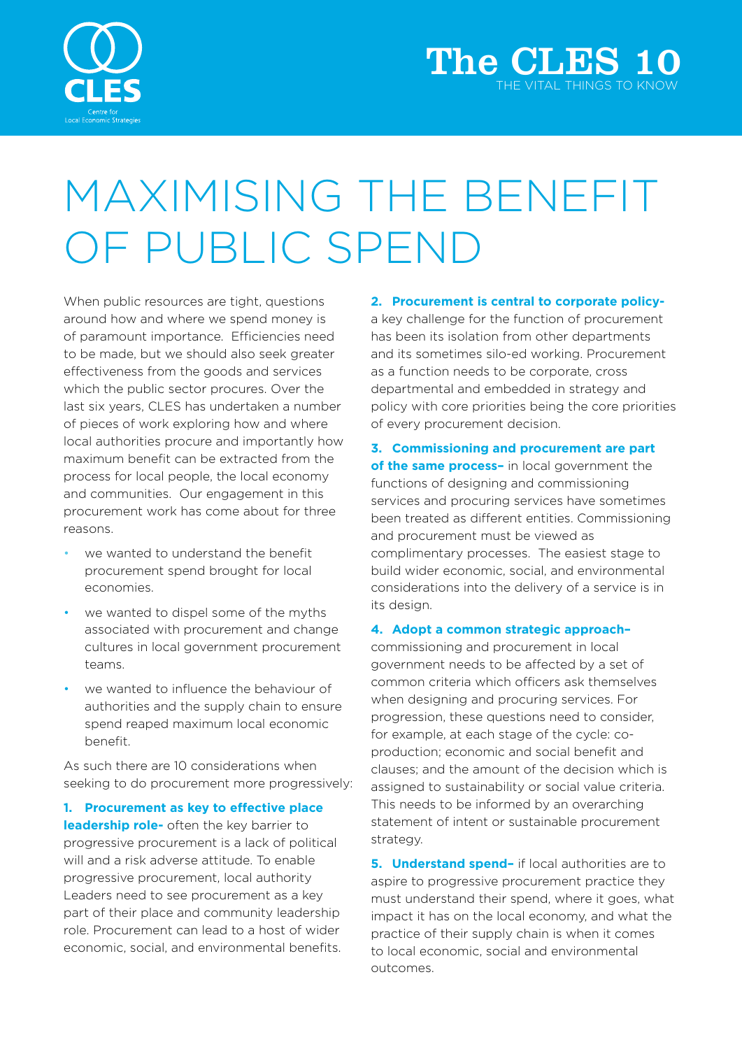

## MAXIMISING THE BENEFIT OF PUBLIC SPEND

When public resources are tight, questions around how and where we spend money is of paramount importance. Efficiencies need to be made, but we should also seek greater effectiveness from the goods and services which the public sector procures. Over the last six years, CLES has undertaken a number of pieces of work exploring how and where local authorities procure and importantly how maximum benefit can be extracted from the process for local people, the local economy and communities. Our engagement in this procurement work has come about for three reasons.

- we wanted to understand the benefit procurement spend brought for local economies.
- we wanted to dispel some of the myths associated with procurement and change cultures in local government procurement teams.
- we wanted to influence the behaviour of authorities and the supply chain to ensure spend reaped maximum local economic benefit.

As such there are 10 considerations when seeking to do procurement more progressively:

**1. Procurement as key to effective place leadership role-** often the key barrier to progressive procurement is a lack of political will and a risk adverse attitude. To enable progressive procurement, local authority Leaders need to see procurement as a key part of their place and community leadership role. Procurement can lead to a host of wider economic, social, and environmental benefits. **2. Procurement is central to corporate policy-**

a key challenge for the function of procurement has been its isolation from other departments and its sometimes silo-ed working. Procurement as a function needs to be corporate, cross departmental and embedded in strategy and policy with core priorities being the core priorities of every procurement decision.

**3. Commissioning and procurement are part of the same process–** in local government the functions of designing and commissioning services and procuring services have sometimes been treated as different entities. Commissioning and procurement must be viewed as complimentary processes. The easiest stage to build wider economic, social, and environmental considerations into the delivery of a service is in its design.

## **4. Adopt a common strategic approach–**

commissioning and procurement in local government needs to be affected by a set of common criteria which officers ask themselves when designing and procuring services. For progression, these questions need to consider, for example, at each stage of the cycle: coproduction; economic and social benefit and clauses; and the amount of the decision which is assigned to sustainability or social value criteria. This needs to be informed by an overarching statement of intent or sustainable procurement strategy.

**5. Understand spend–** if local authorities are to aspire to progressive procurement practice they must understand their spend, where it goes, what impact it has on the local economy, and what the practice of their supply chain is when it comes to local economic, social and environmental outcomes.